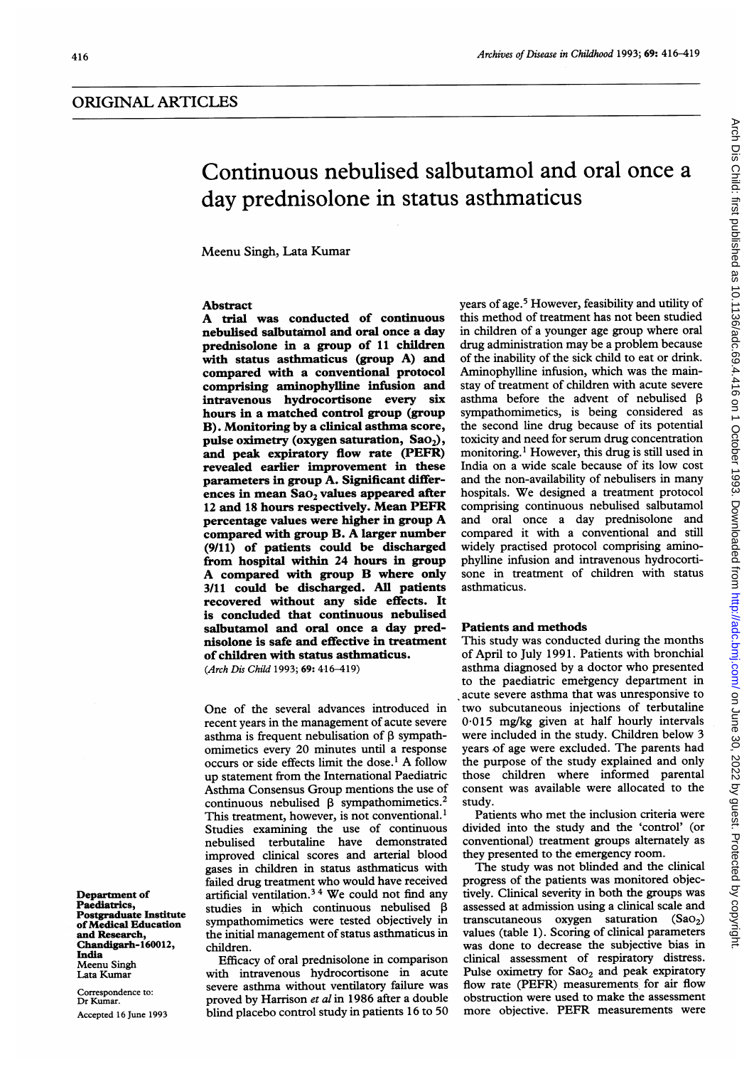# Continuous nebulised salbutamol and oral once a day prednisolone in status asthmaticus

Meenu Singh, Lata Kumar

# Abstract

A trial was conducted of continuous nebulised salbutamol and oral once a day prednisolone in a group of 11 children with status asthmaticus (group A) and compared with a conventional protocol comprising aminophylline infusion and intravenous hydrocortisone every six hours in a matched control group (group B). Monitoring by a clinical asthma score, pulse oximetry (oxygen saturation,  $SaO<sub>2</sub>$ ), and peak expiratory flow rate (PEFR) revealed earlier improvement in these parameters in group A. Significant differences in mean  $SaO<sub>2</sub>$  values appeared after <sup>12</sup> and <sup>18</sup> hours respectively. Mean PEFR percentage values were higher in group A compared with group B. A larger number (9/11) of patients could be discharged from hospital within 24 hours in group A compared with group B where only 3/11 could be discharged. All patients recovered without any side effects. It is concluded that continuous nebulised salbutamol and oral once a day prednisolone is safe and effective in treatment of children with status asthmaticus. (Arch Dis Child 1993; 69: 416-419)

One of the several advances introduced in recent years in the management of acute severe asthma is frequent nebulisation of  $\beta$  sympathomimetics every 20 minutes until a response occurs or side effects limit the dose.' A follow up statement from the International Paediatric Asthma Consensus Group mentions the use of continuous nebulised  $\beta$  sympathomimetics.<sup>2</sup> This treatment, however, is not conventional.<sup>1</sup> Studies examining the use of continuous nebulised terbutaline have demonstrated improved clinical scores and arterial blood gases in children in status asthmaticus with failed drug treatment who would have received artificial ventilation.34 We could not find any studies in which continuous nebulised  $\beta$ sympathomimetics were tested objectively in the initial management of status asthmaticus in children.

Efficacy of oral prednisolone in comparison with intravenous hydrocortisone in acute severe asthma without ventilatory failure was proved by Harrison et al in 1986 after a double blind placebo control study in patients 16 to 50

years of age.<sup>5</sup> However, feasibility and utility of this method of treatment has not been studied in children of a younger age group where oral drug administration may be <sup>a</sup> problem because of the inability of the sick child to eat or drink. Aminophylline infusion, which was the mainstay of treatment of children with acute severe asthma before the advent of nebulised  $\beta$ sympathomimetics, is being considered as the second line drug because of its potential toxicity and need for serum drug concentration monitoring.<sup>1</sup> However, this drug is still used in India on a wide scale because of its low cost and the non-availability of nebulisers in many hospitals. We designed <sup>a</sup> treatment protocol comprising continuous nebulised salbutamol and oral once a day prednisolone and compared it with a conventional and still widely practised protocol comprising aminophylline infusion and intravenous hydrocortisone in treatment of children with status asthmaticus.

#### Patients and methods

This study was conducted during the months of April to July 1991. Patients with bronchial asthma diagnosed by a doctor who presented to the paediatric emergency department in acute severe asthma that was unresponsive to two subcutaneous injections of terbutaline 0.015 mg/kg given at half hourly intervals were included in the study. Children below 3 years of age were excluded. The parents had the purpose of the study explained and only those children where informed parental consent was available were allocated to the study.

Patients who met the inclusion criteria were divided into the study and the 'control' (or conventional) treatment groups alternately as they presented to the emergency room.

The study was not blinded and the clinical progress of the patients was monitored objectively. Clinical severity in both the groups was assessed at admission using a clinical scale and transcutaneous oxygen saturation  $(Sao<sub>2</sub>)$ values (table 1). Scoring of clinical parameters was done to decrease the subjective bias in clinical assessment of respiratory distress. Pulse oximetry for  $Sao_2$  and peak expiratory flow rate (PEFR) measurements for air flow obstruction were used to make the assessment more objective. PEFR measurements were

Department of Paediatrics, Postgraduate Institute ofMedical Education and Research, Chandigarh-160012, India Meenu Singh Lata Kumar

Correspondence to: Dr Kumar. Accepted 16 June 1993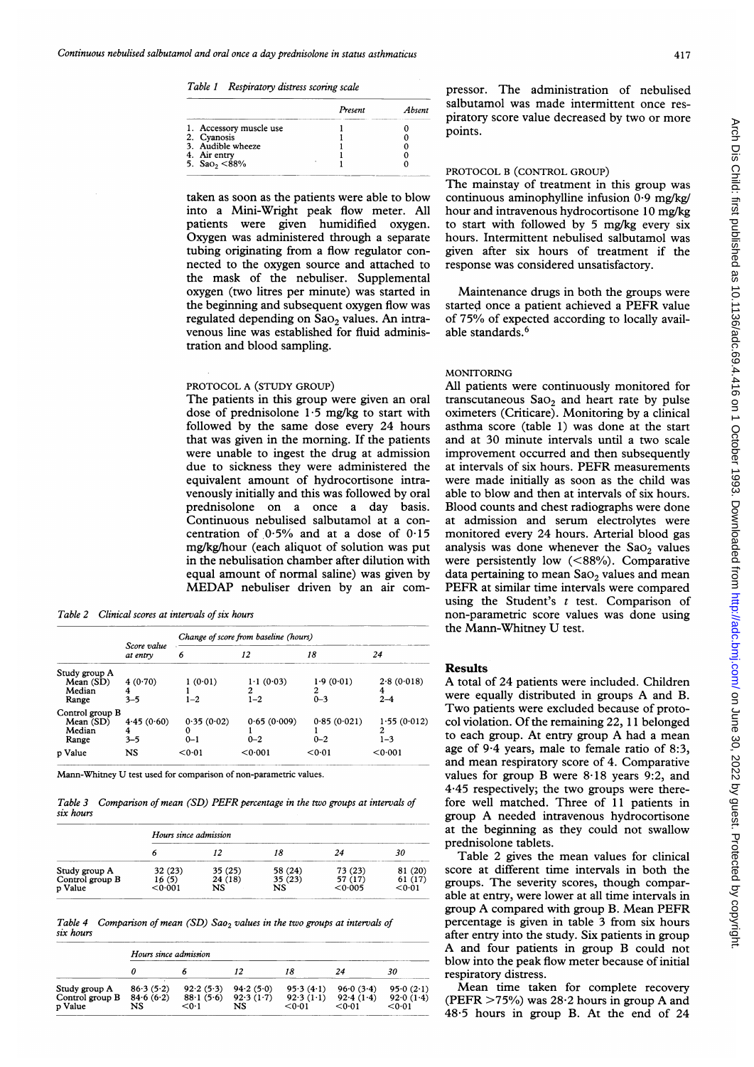Table 1 Respiratory distress scoring scale

|                              | Present | Absent |
|------------------------------|---------|--------|
| 1. Accessory muscle use      |         |        |
| 2. Cyanosis                  |         |        |
| 3. Audible wheeze            |         |        |
| 4. Air entry                 |         |        |
| 5. Sao <sub>2</sub> $< 88\%$ |         |        |

taken as soon as the patients were able to blow into a Mini-Wright peak flow meter. All patients were given humidified oxygen. Oxygen was administered through a separate tubing originating from a flow regulator connected to the oxygen source and attached to the mask of the nebuliser. Supplemental oxygen (two litres per minute) was started in the beginning and subsequent oxygen flow was regulated depending on  $Sao_2$  values. An intravenous line was established for fluid administration and blood sampling.

## PROTOCOL A (STUDY GROUP)

The patients in this group were given an oral dose of prednisolone 1.5 mg/kg to start with followed by the same dose every 24 hours that was given in the morning. If the patients were unable to ingest the drug at admission due to sickness they were administered the equivalent amount of hydrocortisone intravenously initially and this was followed by oral prednisolone on a once a day basis. Continuous nebulised salbutamol at a concentration of  $0.5\%$  and at a dose of  $0.15$ mg/kg/hour (each aliquot of solution was put in the nebulisation chamber after dilution with equal amount of normal saline) was given by MEDAP nebuliser driven by an air com-

Table 2 Clinical scores at intervals of six hours

|                                                 | Score value<br>at entry    | Change of score from baseline (hours) |                           |                           |                             |  |
|-------------------------------------------------|----------------------------|---------------------------------------|---------------------------|---------------------------|-----------------------------|--|
|                                                 |                            | 6                                     | 12                        | 18                        | 24                          |  |
| Study group A<br>Mean (SD)<br>Median<br>Range   | 4 $(0.70)$<br>4<br>$3 - 5$ | 1(0.01)<br>$1 - 2$                    | 1.1(0.03)<br>2<br>$1 - 2$ | 1.9(0.01)<br>2<br>$0 - 3$ | 2.8(0.018)<br>4<br>$2 - 4$  |  |
| Control group B<br>Mean (SD)<br>Median<br>Range | 4.45(0.60)<br>4<br>$3 - 5$ | 0.35(0.02)<br>0<br>$0 - 1$            | 0.65(0.009)<br>$0 - 2$    | 0.85(0.021)<br>$0 - 2$    | 1.55(0.012)<br>2<br>$1 - 3$ |  |
| p Value                                         | NS                         | < 0.01                                | 0.001                     | < 0.01                    | < 0.001                     |  |

Mann-Whitney U test used for comparison of non-parametric values.

Table 3 Comparison of mean (SD) PEFR percentage in the two groups at intervals of fore well matched. Three of 11 patients in six hours

|                                             | Hours since admission                  |                          |                          |                    |                    |  |
|---------------------------------------------|----------------------------------------|--------------------------|--------------------------|--------------------|--------------------|--|
|                                             |                                        |                          |                          |                    | 30                 |  |
| Study group A<br>Control group B<br>p Value | 32 (23)<br>IO (5)<br>$<$ 0 $\cdot$ 001 | 35 (25)<br>24 (18)<br>NS | 58 (24)<br>35 (23)<br>NS | 73 (23)<br>< 0.005 | '20<br>61<br><0∙01 |  |

Table 4 Comparison of mean (SD) Sao<sub>2</sub> values in the two groups at intervals of percentage is given in table 3 from six hours six hours

|                                             | Hours since admission        |                                 |                              |                                  |                                  |                                  |
|---------------------------------------------|------------------------------|---------------------------------|------------------------------|----------------------------------|----------------------------------|----------------------------------|
|                                             |                              |                                 |                              |                                  |                                  | 30                               |
| Study group A<br>Control group B<br>p Value | 86.3(5.2)<br>84.6(6.2)<br>NS | 92.2(5.3)<br>88.1(5.6)<br>< 0.1 | 94.2(5.0)<br>92.3(1.7)<br>NS | 95.3(4.1)<br>92.3(1.1)<br>< 0.01 | 96.0(3.4)<br>92.4(1.4)<br>< 0.01 | 95.0(2.1)<br>92.0(1.4)<br>< 0.01 |

pressor. The administration of nebulised salbutamol was made intermittent once respiratory score value decreased by two or more points.

## PROTOCOL B (CONTROL GROUP)

The mainstay of treatment in this group was continuous aminophylline infusion  $0.9 \text{ mg/kg}$ hour and intravenous hydrocortisone 10 mg/kg to start with followed by 5 mg/kg every six hours. Intermittent nebulised salbutamol was given after six hours of treatment if the response was considered unsatisfactory.

Maintenance drugs in both the groups were started once <sup>a</sup> patient achieved <sup>a</sup> PEFR value of 75% of expected according to locally available standards.<sup>6</sup>

#### MONITORING

All patients were continuously monitored for transcutaneous  $Sao<sub>2</sub>$  and heart rate by pulse oximeters (Criticare). Monitoring by a clinical asthma score (table 1) was done at the start and at 30 minute intervals until a two scale improvement occurred and then subsequently at intervals of six hours. PEFR measurements were made initially as soon as the child was able to blow and then at intervals of six hours. Blood counts and chest radiographs were done at admission and serum electrolytes were monitored every 24 hours. Arterial blood gas analysis was done whenever the  $Sao<sub>2</sub>$  values were persistently low (<88%). Comparative data pertaining to mean  $Sao_2$  values and mean PEFR at similar time intervals were compared using the Student's  $t$  test. Comparison of non-parametric score values was done using the Mann-Whitney U test.

## Results

A total of 24 patients were included. Children were equally distributed in groups A and B. Two patients were excluded because of protocol violation. Of the remaining 22, 11 belonged to each group. At entry group A had a mean age of 9.4 years, male to female ratio of 8:3, and mean respiratory score of 4. Comparative values for group B were  $8.18$  years 9:2, and 4:45 respectively; the two groups were there-<br>fore well matched. Three of 11 patients in group A needed intravenous hydrocortisone<br>at the beginning as they could not swallow prednisolone tablets.

Table 2 gives the mean values for clinical score at different time intervals in both the groups. The severity scores, though comparable at entry, were lower at all time intervals in group A compared with group B. Mean PEFR after entry into the study. Six patients in group A and four patients in group B could not blow into the peak flow meter because of initial respiratory distress.

Mean time taken for complete recovery (PEFR  $>75\%$ ) was 28.2 hours in group A and 48.5 hours in group B. At the end of 24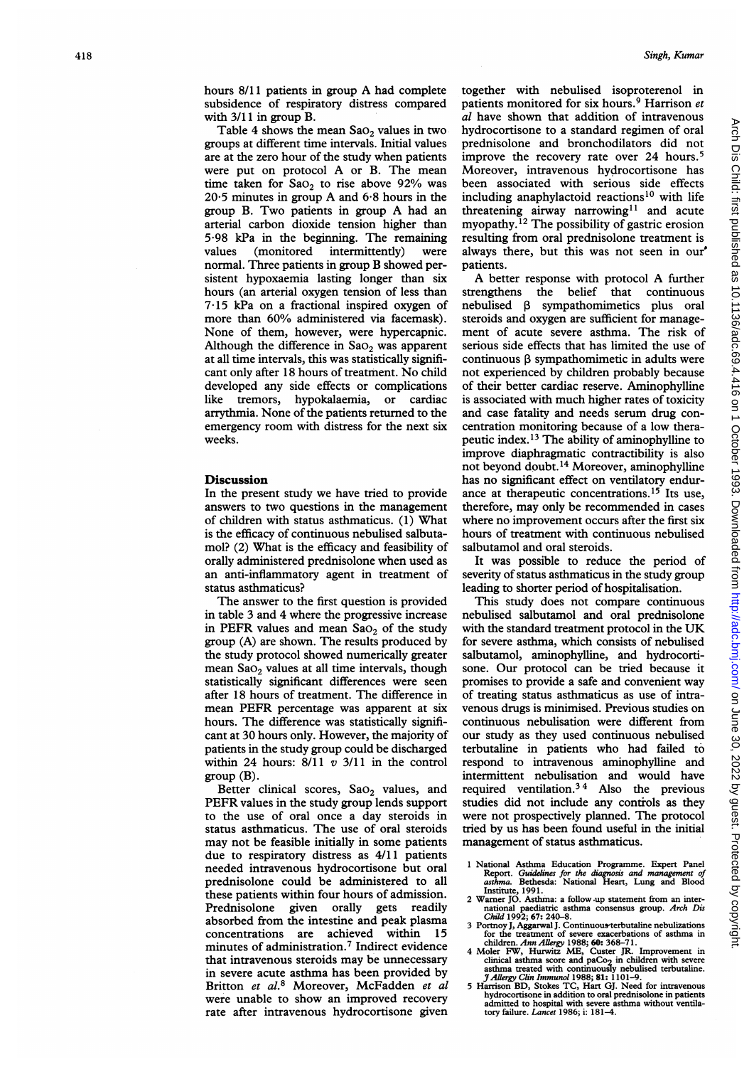hours 8/11 patients in group A had complete subsidence of respiratory distress compared with 3/11 in group B.

Table 4 shows the mean  $Sao_2$  values in two groups at different time intervals. Initial values are at the zero hour of the study when patients were put on protocol A or B. The mean time taken for  $SaO<sub>2</sub>$  to rise above 92% was 205 minutes in group A and 6-8 hours in the group B. Two patients in group A had an arterial carbon dioxide tension higher than 5-98 kPa in the beginning. The remaining values (monitored intermittently) were normal. Three patients in group B showed persistent hypoxaemia lasting longer than six hours (an arterial oxygen tension of less than 7-15 kPa on a fractional inspired oxygen of more than 60% administered via facemask). None of them, however, were hypercapnic. Although the difference in  $Sao_2$  was apparent at all time intervals, this was statistically significant only after <sup>18</sup> hours of treatment. No child developed any side effects or complications like tremors, hypokalaemia, or cardiac arrythmia. None of the patients returned to the emergency room with distress for the next six weeks.

## Discussion

In the present study we have tried to provide answers to two questions in the management of children with status asthmaticus. (1) What is the efficacy of continuous nebulised salbutamol? (2) What is the efficacy and feasibility of orally administered prednisolone when used as an anti-inflammatory agent in treatment of status asthmaticus?

The answer to the first question is provided in table 3 and 4 where the progressive increase in PEFR values and mean  $Sao<sub>2</sub>$  of the study group (A) are shown. The results produced by the study protocol showed numerically greater mean  $Sao_2$  values at all time intervals, though statistically significant differences were seen after 18 hours of treatment. The difference in mean PEFR percentage was apparent at six hours. The difference was statistically significant at 30 hours only. However, the majority of patients in the study group could be discharged within 24 hours:  $8/11$  v  $3/11$  in the control group (B).

Better clinical scores, Sao<sub>2</sub> values, and PEFR values in the study group lends support to the use of oral once a day steroids in status asthmaticus. The use of oral steroids may not be feasible initially in some patients due to respiratory distress as 4/11 patients needed intravenous hydrocortisone but oral prednisolone could be administered to all these patients within four hours of admission. Prednisolone given orally gets readily absorbed from the intestine and peak plasma<br>concentrations are achieved within 15 concentrations are achieved within minutes of administration.7 Indirect evidence that intravenous steroids may be unnecessary in severe acute asthma has been provided by Britton et al.<sup>8</sup> Moreover, McFadden et al. were unable to show an improved recovery rate after intravenous hydrocortisone given together with nebulised isoproterenol in patients monitored for six hours.<sup>9</sup> Harrison et al have shown that addition of intravenous hydrocortisone to a standard regimen of oral prednisolone and bronchodilators did not improve the recovery rate over 24 hours.<sup>5</sup> Moreover, intravenous hydrocortisone has been associated with serious side effects including anaphylactoid reactions<sup>10</sup> with life threatening airway narrowing<sup>11</sup> and acute myopathy.<sup> $12$ </sup> The possibility of gastric erosion resulting from oral prednisolone treatment is always there, but this was not seen in our' patients.

A better response with protocol A further strengthens the belief that continuous  $nebulised$   $\beta$  sympathomimetics plus oral steroids and oxygen are sufficient for management of acute severe asthma. The risk of serious side effects that has limited the use of continuous P sympathomimetic in adults were not experienced by children probably because of their better cardiac reserve. Aminophylline is associated with much higher rates of toxicity and case fatality and needs serum drug concentration monitoring because of a low therapeutic index. <sup>13</sup> The ability of aminophylline to improve diaphragmatic contractibility is also not beyond doubt.14 Moreover, aminophylline has no significant effect on ventilatory endurance at therapeutic concentrations.<sup>15</sup> Its use, therefore, may only be recommended in cases where no improvement occurs after the first six hours of treatment with continuous nebulised salbutamol and oral steroids.

It was possible to reduce the period of severity of status asthmaticus in the study group leading to shorter period of hospitalisation.

This study does not compare continuous nebulised salbutamol and oral prednisolone with the standard treatment protocol in the UK for severe asthma, which consists of nebulised salbutamol, aminophylline, and hydrocortisone. Our protocol can be tried because it promises to provide a safe and convenient way of treating status asthmaticus as use of intravenous drugs is minimised. Previous studies on continuous nebulisation were different from our study as they used continuous nebulised terbutaline in patients who had failed to respond to intravenous aminophylline and intermittent nebulisation and would have required ventilation.3 4 Also the previous studies did not include any controls as they were not prospectively planned. The protocol tried by us has been found useful in the initial management of status asthmaticus.

- <sup>1</sup> National Asthma Education Programme. Expert Panel Report. Guiddlines for the diagnosis and management of asthma. Bethesda: National Heart, Lung and Blood
- Institute, 1991.<br>
2 Warner JO. Asthma: a follow up statement from an inter-<br>
national paediatric asthma consensus group. Arch Dis<br>
Child 1992; 67: 240-8.<br>
3 Portnoy J, Aggarwal J. Continuous-terbutaline nebulizations
- for the treatment of severe exacerbations of asthma in<br>children. Ann Allergy 1988; 60: 368–71.<br>4 Moler FW, Hurwitz ME, Custer JR. Improvement in
- clinical asthma score and paCo<sub>2</sub> in children with severe<br>asthma treated with continuously nebulised terbutaline.<br> $\frac{\text{H} \text{d} \text{lergy } \text{C} \text{H} \text{r} \text{Im} \text{m} \text{u} \text{m} \text{u} \text{m} \text{u} \text{m} \text{m} \text{u} \text{m} \text{m} \text{m} \text{m} \text{$
- admitted to hospital with severe asthma without ventila-tory failure. Lancet 1986; i: 181-4.